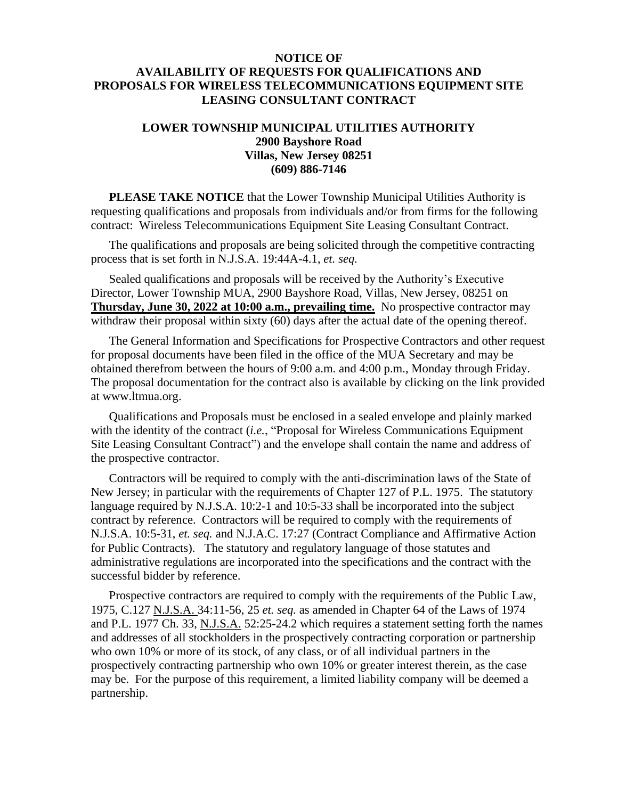## **NOTICE OF AVAILABILITY OF REQUESTS FOR QUALIFICATIONS AND PROPOSALS FOR WIRELESS TELECOMMUNICATIONS EQUIPMENT SITE LEASING CONSULTANT CONTRACT**

## **LOWER TOWNSHIP MUNICIPAL UTILITIES AUTHORITY 2900 Bayshore Road Villas, New Jersey 08251 (609) 886-7146**

**PLEASE TAKE NOTICE** that the Lower Township Municipal Utilities Authority is requesting qualifications and proposals from individuals and/or from firms for the following contract: Wireless Telecommunications Equipment Site Leasing Consultant Contract.

The qualifications and proposals are being solicited through the competitive contracting process that is set forth in N.J.S.A. 19:44A-4.1, *et. seq.* 

Sealed qualifications and proposals will be received by the Authority's Executive Director, Lower Township MUA, 2900 Bayshore Road, Villas, New Jersey, 08251 on **Thursday, June 30, 2022 at 10:00 a.m., prevailing time.** No prospective contractor may withdraw their proposal within sixty (60) days after the actual date of the opening thereof.

The General Information and Specifications for Prospective Contractors and other request for proposal documents have been filed in the office of the MUA Secretary and may be obtained therefrom between the hours of 9:00 a.m. and 4:00 p.m., Monday through Friday. The proposal documentation for the contract also is available by clicking on the link provided at www.ltmua.org.

Qualifications and Proposals must be enclosed in a sealed envelope and plainly marked with the identity of the contract (*i.e.*, "Proposal for Wireless Communications Equipment Site Leasing Consultant Contract") and the envelope shall contain the name and address of the prospective contractor.

Contractors will be required to comply with the anti-discrimination laws of the State of New Jersey; in particular with the requirements of Chapter 127 of P.L. 1975. The statutory language required by N.J.S.A. 10:2-1 and 10:5-33 shall be incorporated into the subject contract by reference. Contractors will be required to comply with the requirements of N.J.S.A. 10:5-31, *et. seq.* and N.J.A.C. 17:27 (Contract Compliance and Affirmative Action for Public Contracts). The statutory and regulatory language of those statutes and administrative regulations are incorporated into the specifications and the contract with the successful bidder by reference.

Prospective contractors are required to comply with the requirements of the Public Law, 1975, C.127 N.J.S.A. 34:11-56, 25 *et. seq.* as amended in Chapter 64 of the Laws of 1974 and P.L. 1977 Ch. 33, N.J.S.A. 52:25-24.2 which requires a statement setting forth the names and addresses of all stockholders in the prospectively contracting corporation or partnership who own 10% or more of its stock, of any class, or of all individual partners in the prospectively contracting partnership who own 10% or greater interest therein, as the case may be. For the purpose of this requirement, a limited liability company will be deemed a partnership.